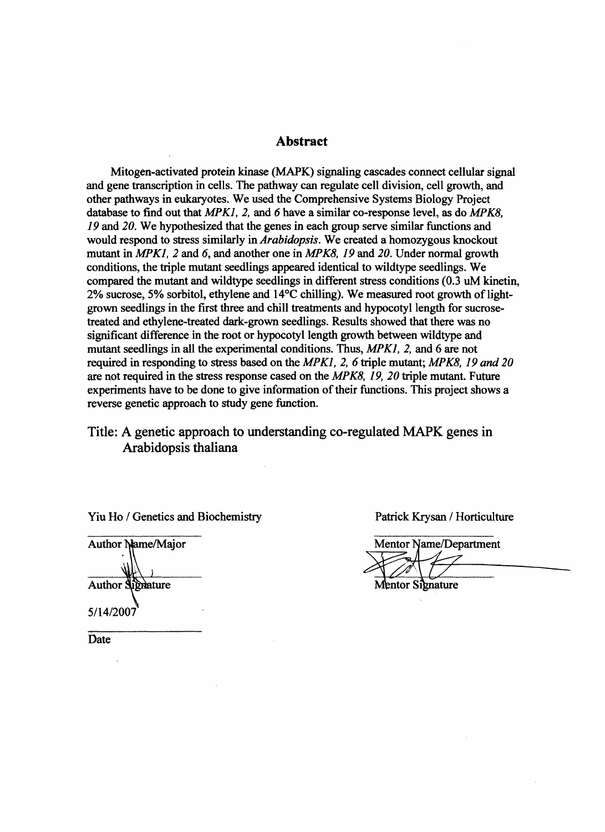#### **Abstract**

Mitogen-activated protein kinase (MAPK) signaling cascades connect cellular signal and gene transcription in cells. The pathway can regulate cell division, cell growth, and other pathways in eukaryotes. We used the Comprehensive Systems Biology Project database to find out that *MPK1,* 2, and 6 have a similar co-response level, as do *MPK8,*  19 and *20.* We hypothesized that the genes in each group serve similar functions and would respond to stress similarly in *Arabidopsis.* We created a homozygous knockout mutant in *MPK1,* 2 and 6, and another one in *MPK8,* 19 and *20.* Under normal growth conditions, the triple mutant seedlings appeared identical to wildtype seedlings. We compared the mutant and wildtype seedlings in different stress conditions (0.3 uM kinetin,  $2\%$  sucrose, 5% sorbitol, ethylene and  $14^{\circ}$ C chilling). We measured root growth of lightgrown seedlings in the first three and chill treatments and hypocotyl length for sucrosetreated and ethylene-treated dark-grown seedlings. Results showed that there was no significant difference in the root or hypocotyl length growth between wildtype and mutant seedlings in all the experimental conditions. Thus, *MPK1,* 2, and 6 are not required in responding to stress based on the *MPK1,* 2, 6 triple mutant; *MPK8,* 19 *and 20*  are not required in the stress response cased on the *MPK8,* 19, *20* triple mutant. Future experiments have to be done to give information of their functions. This project shows a reverse genetic approach to study gene function.

#### Title: A genetic approach to understanding co-regulated MAPK genes in Arabidopsis thaliana

Yiu Ho / Genetics and Biochemistry Patrick Krysan / Horticulture

**Author Name/Major Author Signature** 

5/14/2007

**Date** 

**Mentor Name/Department Mentor Signature**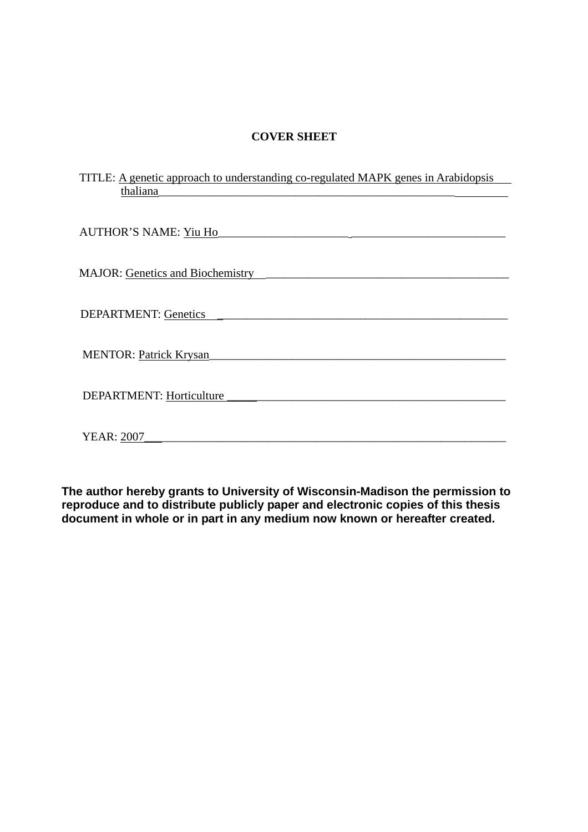#### **COVER SHEET**

| TITLE: A genetic approach to understanding co-regulated MAPK genes in Arabidopsis |
|-----------------------------------------------------------------------------------|
| thaliana                                                                          |
|                                                                                   |
|                                                                                   |
| <b>AUTHOR'S NAME: Yiu Ho</b>                                                      |
|                                                                                   |
|                                                                                   |
| <b>MAJOR:</b> Genetics and Biochemistry                                           |
|                                                                                   |
|                                                                                   |
| <b>DEPARTMENT: Genetics</b>                                                       |
|                                                                                   |
|                                                                                   |
| <b>MENTOR: Patrick Krysan</b>                                                     |
|                                                                                   |
|                                                                                   |
| <b>DEPARTMENT: Horticulture</b>                                                   |
|                                                                                   |
|                                                                                   |
| <b>YEAR: 2007</b>                                                                 |
|                                                                                   |

**The author hereby grants to University of Wisconsin-Madison the permission to reproduce and to distribute publicly paper and electronic copies of this thesis document in whole or in part in any medium now known or hereafter created.**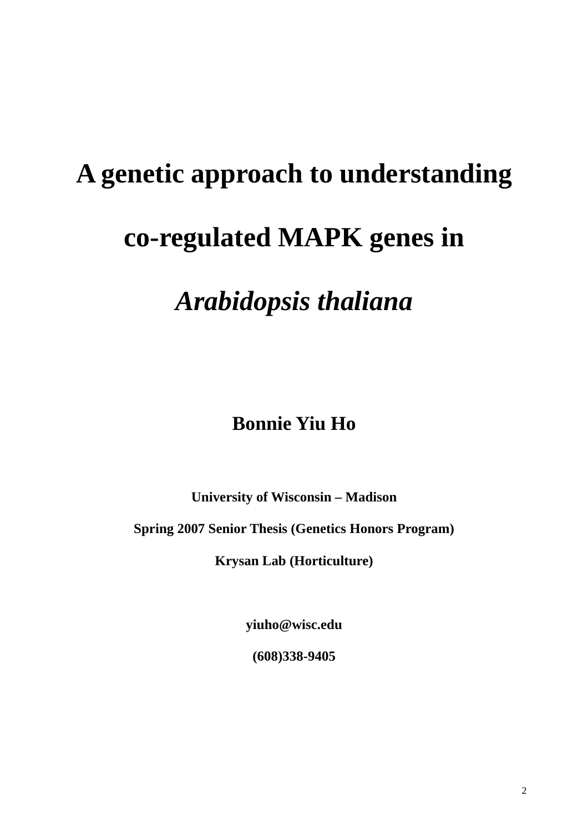# **A genetic approach to understanding co-regulated MAPK genes in**

## *Arabidopsis thaliana*

### **Bonnie Yiu Ho**

**University of Wisconsin – Madison** 

**Spring 2007 Senior Thesis (Genetics Honors Program)** 

**Krysan Lab (Horticulture)** 

**yiuho@wisc.edu** 

**(608)338-9405**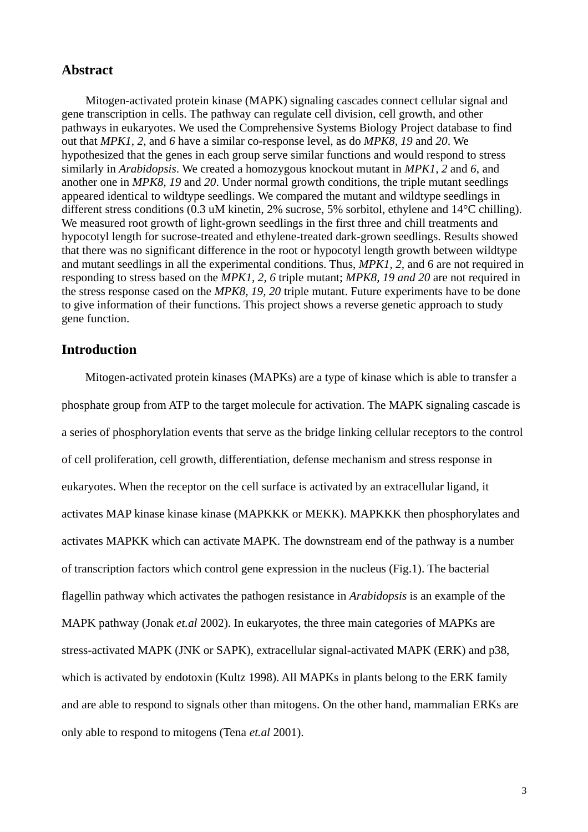#### **Abstract**

Mitogen-activated protein kinase (MAPK) signaling cascades connect cellular signal and gene transcription in cells. The pathway can regulate cell division, cell growth, and other pathways in eukaryotes. We used the Comprehensive Systems Biology Project database to find out that *MPK1, 2,* and *6* have a similar co-response level, as do *MPK8, 19* and *20*. We hypothesized that the genes in each group serve similar functions and would respond to stress similarly in *Arabidopsis*. We created a homozygous knockout mutant in *MPK1, 2* and *6*, and another one in *MPK8, 19* and *20*. Under normal growth conditions, the triple mutant seedlings appeared identical to wildtype seedlings. We compared the mutant and wildtype seedlings in different stress conditions (0.3 uM kinetin, 2% sucrose, 5% sorbitol, ethylene and 14°C chilling). We measured root growth of light-grown seedlings in the first three and chill treatments and hypocotyl length for sucrose-treated and ethylene-treated dark-grown seedlings. Results showed that there was no significant difference in the root or hypocotyl length growth between wildtype and mutant seedlings in all the experimental conditions. Thus, *MPK1, 2,* and 6 are not required in responding to stress based on the *MPK1, 2, 6* triple mutant; *MPK8, 19 and 20* are not required in the stress response cased on the *MPK8, 19, 20* triple mutant. Future experiments have to be done to give information of their functions. This project shows a reverse genetic approach to study gene function.

#### **Introduction**

Mitogen-activated protein kinases (MAPKs) are a type of kinase which is able to transfer a phosphate group from ATP to the target molecule for activation. The MAPK signaling cascade is a series of phosphorylation events that serve as the bridge linking cellular receptors to the control of cell proliferation, cell growth, differentiation, defense mechanism and stress response in eukaryotes. When the receptor on the cell surface is activated by an extracellular ligand, it activates MAP kinase kinase kinase (MAPKKK or MEKK). MAPKKK then phosphorylates and activates MAPKK which can activate MAPK. The downstream end of the pathway is a number of transcription factors which control gene expression in the nucleus (Fig.1). The bacterial flagellin pathway which activates the pathogen resistance in *Arabidopsis* is an example of the MAPK pathway (Jonak *et.al* 2002). In eukaryotes, the three main categories of MAPKs are stress-activated MAPK (JNK or SAPK), extracellular signal-activated MAPK (ERK) and p38, which is activated by endotoxin (Kultz 1998). All MAPKs in plants belong to the ERK family and are able to respond to signals other than mitogens. On the other hand, mammalian ERKs are only able to respond to mitogens (Tena *et.al* 2001).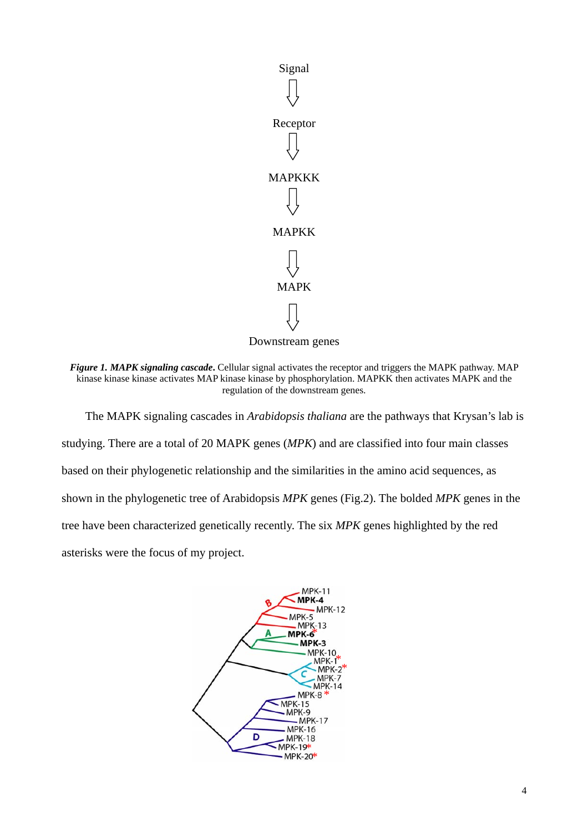

*Figure 1. MAPK signaling cascade***.** Cellular signal activates the receptor and triggers the MAPK pathway. MAP kinase kinase kinase activates MAP kinase kinase by phosphorylation. MAPKK then activates MAPK and the regulation of the downstream genes.

The MAPK signaling cascades in *Arabidopsis thaliana* are the pathways that Krysan's lab is studying. There are a total of 20 MAPK genes (*MPK*) and are classified into four main classes based on their phylogenetic relationship and the similarities in the amino acid sequences, as shown in the phylogenetic tree of Arabidopsis *MPK* genes (Fig.2). The bolded *MPK* genes in the tree have been characterized genetically recently. The six *MPK* genes highlighted by the red asterisks were the focus of my project.

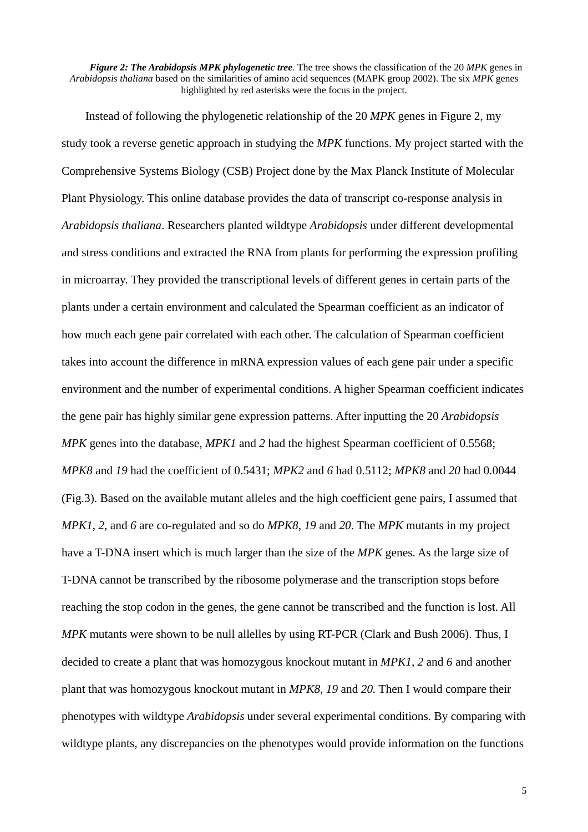*Figure 2: The Arabidopsis MPK phylogenetic tree*. The tree shows the classification of the 20 *MPK* genes in *Arabidopsis thaliana* based on the similarities of amino acid sequences (MAPK group 2002). The six *MPK* genes highlighted by red asterisks were the focus in the project.

Instead of following the phylogenetic relationship of the 20 *MPK* genes in Figure 2, my study took a reverse genetic approach in studying the *MPK* functions. My project started with the Comprehensive Systems Biology (CSB) Project done by the Max Planck Institute of Molecular Plant Physiology. This online database provides the data of transcript co-response analysis in *Arabidopsis thaliana*. Researchers planted wildtype *Arabidopsis* under different developmental and stress conditions and extracted the RNA from plants for performing the expression profiling in microarray. They provided the transcriptional levels of different genes in certain parts of the plants under a certain environment and calculated the Spearman coefficient as an indicator of how much each gene pair correlated with each other. The calculation of Spearman coefficient takes into account the difference in mRNA expression values of each gene pair under a specific environment and the number of experimental conditions. A higher Spearman coefficient indicates the gene pair has highly similar gene expression patterns. After inputting the 20 *Arabidopsis MPK* genes into the database, *MPK1* and *2* had the highest Spearman coefficient of 0.5568; *MPK8* and *19* had the coefficient of 0.5431; *MPK2* and *6* had 0.5112; *MPK8* and *20* had 0.0044 (Fig.3). Based on the available mutant alleles and the high coefficient gene pairs, I assumed that *MPK1, 2*, and *6* are co-regulated and so do *MPK8, 19* and *20*. The *MPK* mutants in my project have a T-DNA insert which is much larger than the size of the *MPK* genes. As the large size of T-DNA cannot be transcribed by the ribosome polymerase and the transcription stops before reaching the stop codon in the genes, the gene cannot be transcribed and the function is lost. All *MPK* mutants were shown to be null allelles by using RT-PCR (Clark and Bush 2006). Thus, I decided to create a plant that was homozygous knockout mutant in *MPK1, 2* and *6* and another plant that was homozygous knockout mutant in *MPK8, 19* and *20.* Then I would compare their phenotypes with wildtype *Arabidopsis* under several experimental conditions. By comparing with wildtype plants, any discrepancies on the phenotypes would provide information on the functions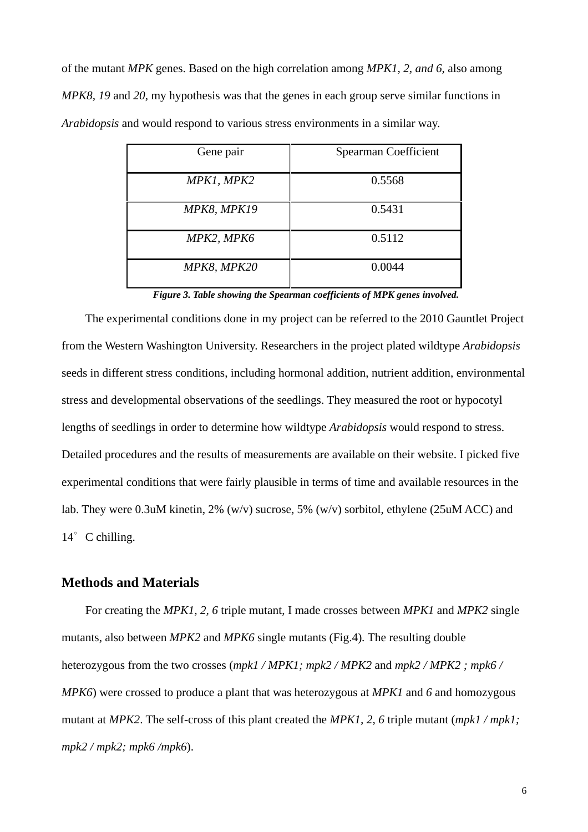of the mutant *MPK* genes. Based on the high correlation among *MPK1, 2, and 6*, also among *MPK8, 19* and *20*, my hypothesis was that the genes in each group serve similar functions in *Arabidopsis* and would respond to various stress environments in a similar way.

| Gene pair   | Spearman Coefficient |
|-------------|----------------------|
| MPK1, MPK2  | 0.5568               |
| MPK8, MPK19 | 0.5431               |
| MPK2, MPK6  | 0.5112               |
| MPK8, MPK20 | 0.0044               |

*Figure 3. Table showing the Spearman coefficients of MPK genes involved.*

The experimental conditions done in my project can be referred to the 2010 Gauntlet Project from the Western Washington University. Researchers in the project plated wildtype *Arabidopsis* seeds in different stress conditions, including hormonal addition, nutrient addition, environmental stress and developmental observations of the seedlings. They measured the root or hypocotyl lengths of seedlings in order to determine how wildtype *Arabidopsis* would respond to stress. Detailed procedures and the results of measurements are available on their website. I picked five experimental conditions that were fairly plausible in terms of time and available resources in the lab. They were 0.3uM kinetin, 2% (w/v) sucrose, 5% (w/v) sorbitol, ethylene (25uM ACC) and 14° C chilling.

#### **Methods and Materials**

For creating the *MPK1, 2, 6* triple mutant, I made crosses between *MPK1* and *MPK2* single mutants, also between *MPK2* and *MPK6* single mutants (Fig.4)*.* The resulting double heterozygous from the two crosses (*mpk1 / MPK1; mpk2 / MPK2* and *mpk2 / MPK2 ; mpk6 / MPK6*) were crossed to produce a plant that was heterozygous at *MPK1* and *6* and homozygous mutant at *MPK2*. The self-cross of this plant created the *MPK1, 2, 6* triple mutant (*mpk1 / mpk1; mpk2 / mpk2; mpk6 /mpk6*).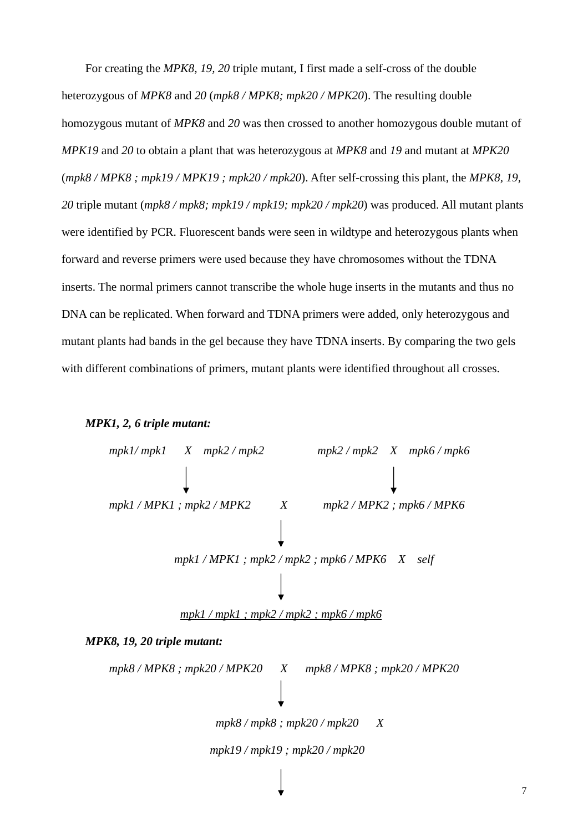For creating the *MPK8, 19, 20* triple mutant, I first made a self-cross of the double heterozygous of *MPK8* and *20* (*mpk8 / MPK8; mpk20 / MPK20*). The resulting double homozygous mutant of *MPK8* and *20* was then crossed to another homozygous double mutant of *MPK19* and *20* to obtain a plant that was heterozygous at *MPK8* and *19* and mutant at *MPK20* (*mpk8 / MPK8 ; mpk19 / MPK19 ; mpk20 / mpk20*). After self-crossing this plant, the *MPK8, 19, 20* triple mutant (*mpk8 / mpk8; mpk19 / mpk19; mpk20 / mpk20*) was produced. All mutant plants were identified by PCR. Fluorescent bands were seen in wildtype and heterozygous plants when forward and reverse primers were used because they have chromosomes without the TDNA inserts. The normal primers cannot transcribe the whole huge inserts in the mutants and thus no DNA can be replicated. When forward and TDNA primers were added, only heterozygous and mutant plants had bands in the gel because they have TDNA inserts. By comparing the two gels with different combinations of primers, mutant plants were identified throughout all crosses.

#### *MPK1, 2, 6 triple mutant:*

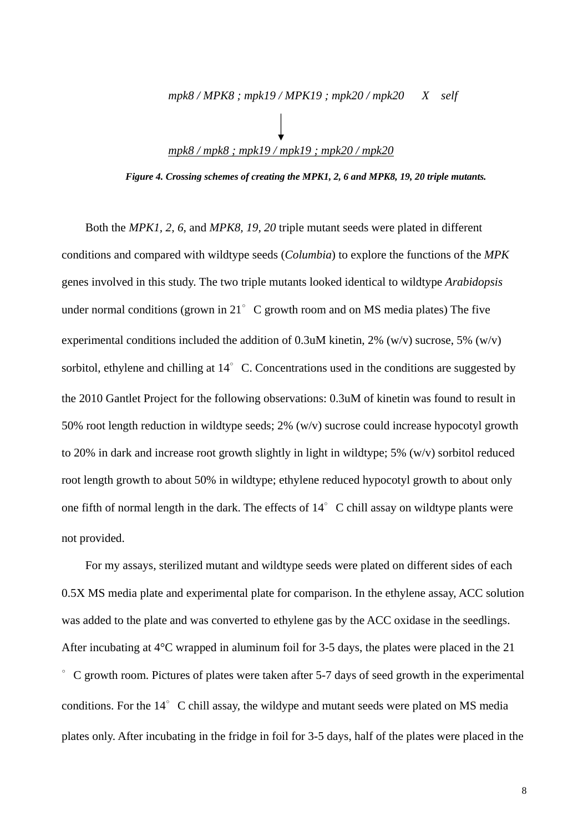# *mpk8 / MPK8 ; mpk19 / MPK19 ; mpk20 / mpk20 X self mpk8 / mpk8 ; mpk19 / mpk19 ; mpk20 / mpk20*

*Figure 4. Crossing schemes of creating the MPK1, 2, 6 and MPK8, 19, 20 triple mutants.* 

Both the *MPK1, 2, 6*, and *MPK8, 19, 20* triple mutant seeds were plated in different conditions and compared with wildtype seeds (*Columbia*) to explore the functions of the *MPK* genes involved in this study. The two triple mutants looked identical to wildtype *Arabidopsis* under normal conditions (grown in 21 $\degree$  C growth room and on MS media plates) The five experimental conditions included the addition of 0.3uM kinetin, 2% (w/v) sucrose, 5% (w/v) sorbitol, ethylene and chilling at 14°C. Concentrations used in the conditions are suggested by the 2010 Gantlet Project for the following observations: 0.3uM of kinetin was found to result in 50% root length reduction in wildtype seeds; 2% (w/v) sucrose could increase hypocotyl growth to 20% in dark and increase root growth slightly in light in wildtype; 5% (w/v) sorbitol reduced root length growth to about 50% in wildtype; ethylene reduced hypocotyl growth to about only one fifth of normal length in the dark. The effects of  $14^\circ$  C chill assay on wildtype plants were not provided.

For my assays, sterilized mutant and wildtype seeds were plated on different sides of each 0.5X MS media plate and experimental plate for comparison. In the ethylene assay, ACC solution was added to the plate and was converted to ethylene gas by the ACC oxidase in the seedlings. After incubating at 4°C wrapped in aluminum foil for 3-5 days, the plates were placed in the 21 ∘C growth room. Pictures of plates were taken after 5-7 days of seed growth in the experimental conditions. For the 14° C chill assay, the wildype and mutant seeds were plated on MS media plates only. After incubating in the fridge in foil for 3-5 days, half of the plates were placed in the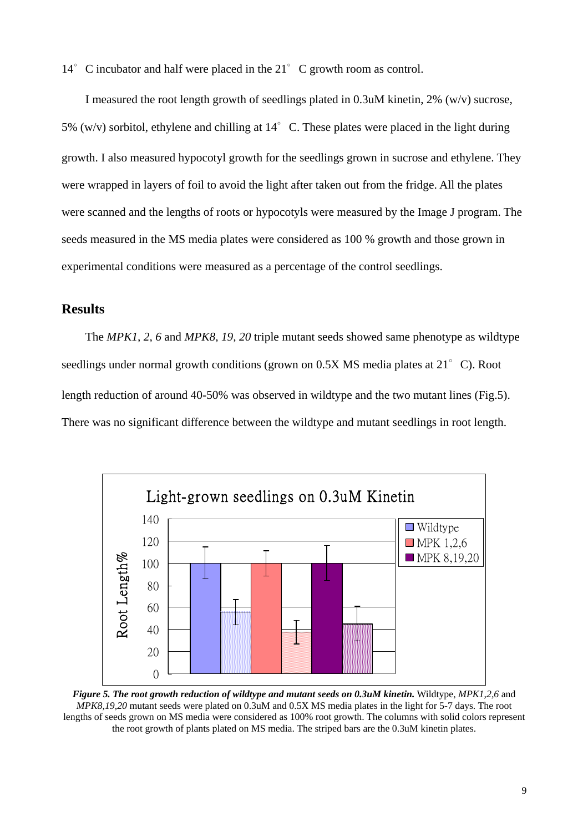14° C incubator and half were placed in the 21° C growth room as control.

I measured the root length growth of seedlings plated in  $0.3u$ M kinetin, 2% (w/v) sucrose, 5% (w/v) sorbitol, ethylene and chilling at  $14^{\circ}$  C. These plates were placed in the light during growth. I also measured hypocotyl growth for the seedlings grown in sucrose and ethylene. They were wrapped in layers of foil to avoid the light after taken out from the fridge. All the plates were scanned and the lengths of roots or hypocotyls were measured by the Image J program. The seeds measured in the MS media plates were considered as 100 % growth and those grown in experimental conditions were measured as a percentage of the control seedlings.

#### **Results**

 The *MPK1, 2, 6* and *MPK8, 19, 20* triple mutant seeds showed same phenotype as wildtype seedlings under normal growth conditions (grown on 0.5X MS media plates at 21°C). Root length reduction of around 40-50% was observed in wildtype and the two mutant lines (Fig.5). There was no significant difference between the wildtype and mutant seedlings in root length.



*Figure 5. The root growth reduction of wildtype and mutant seeds on 0.3uM kinetin.* Wildtype, *MPK1,2,6* and *MPK8,19,20* mutant seeds were plated on 0.3uM and 0.5X MS media plates in the light for 5-7 days. The root lengths of seeds grown on MS media were considered as 100% root growth. The columns with solid colors represent the root growth of plants plated on MS media. The striped bars are the 0.3uM kinetin plates.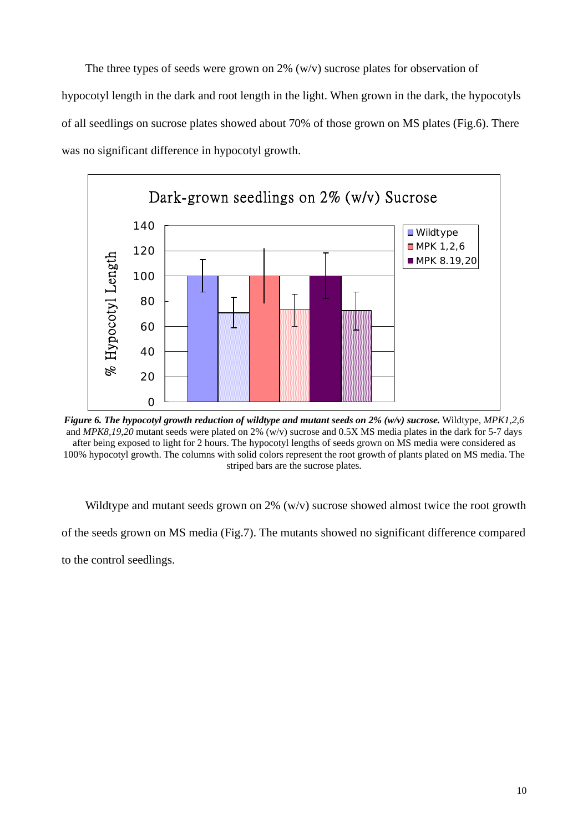The three types of seeds were grown on 2%  $(w/v)$  sucrose plates for observation of hypocotyl length in the dark and root length in the light. When grown in the dark, the hypocotyls of all seedlings on sucrose plates showed about 70% of those grown on MS plates (Fig.6). There was no significant difference in hypocotyl growth.



*Figure 6. The hypocotyl growth reduction of wildtype and mutant seeds on 2% (w/v) sucrose.* Wildtype, *MPK1,2,6* and *MPK8,19,20* mutant seeds were plated on 2% (w/v) sucrose and 0.5X MS media plates in the dark for 5-7 days after being exposed to light for 2 hours. The hypocotyl lengths of seeds grown on MS media were considered as 100% hypocotyl growth. The columns with solid colors represent the root growth of plants plated on MS media. The striped bars are the sucrose plates.

Wildtype and mutant seeds grown on 2% (w/v) sucrose showed almost twice the root growth

of the seeds grown on MS media (Fig.7). The mutants showed no significant difference compared

to the control seedlings.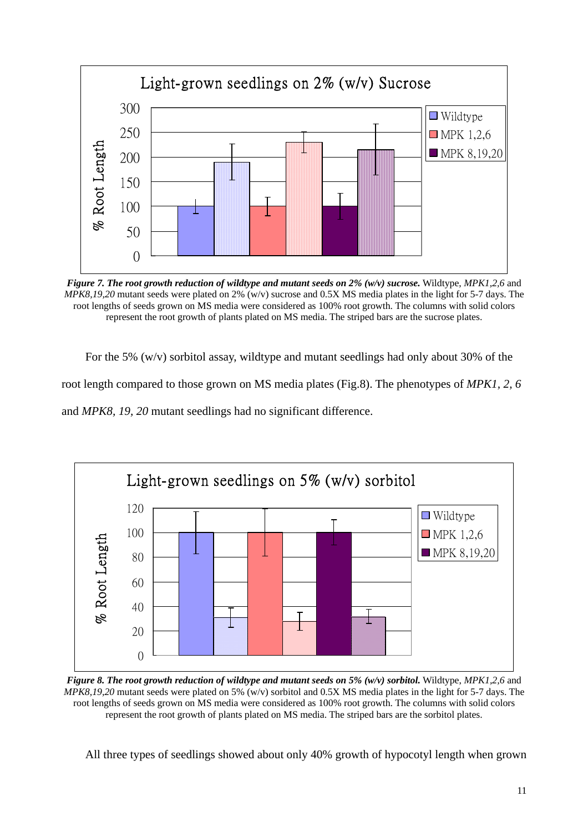

*Figure 7. The root growth reduction of wildtype and mutant seeds on 2% (w/v) sucrose.* Wildtype, *MPK1,2,6* and *MPK8,19,20* mutant seeds were plated on 2% (w/v) sucrose and 0.5X MS media plates in the light for 5-7 days. The root lengths of seeds grown on MS media were considered as 100% root growth. The columns with solid colors represent the root growth of plants plated on MS media. The striped bars are the sucrose plates.

For the 5% (w/v) sorbitol assay, wildtype and mutant seedlings had only about 30% of the root length compared to those grown on MS media plates (Fig.8). The phenotypes of *MPK1, 2, 6* and *MPK8, 19, 20* mutant seedlings had no significant difference.



*Figure 8. The root growth reduction of wildtype and mutant seeds on 5% (w/v) sorbitol.* Wildtype, *MPK1,2,6* and *MPK8,19,20* mutant seeds were plated on 5% (w/v) sorbitol and 0.5X MS media plates in the light for 5-7 days. The root lengths of seeds grown on MS media were considered as 100% root growth. The columns with solid colors represent the root growth of plants plated on MS media. The striped bars are the sorbitol plates.

All three types of seedlings showed about only 40% growth of hypocotyl length when grown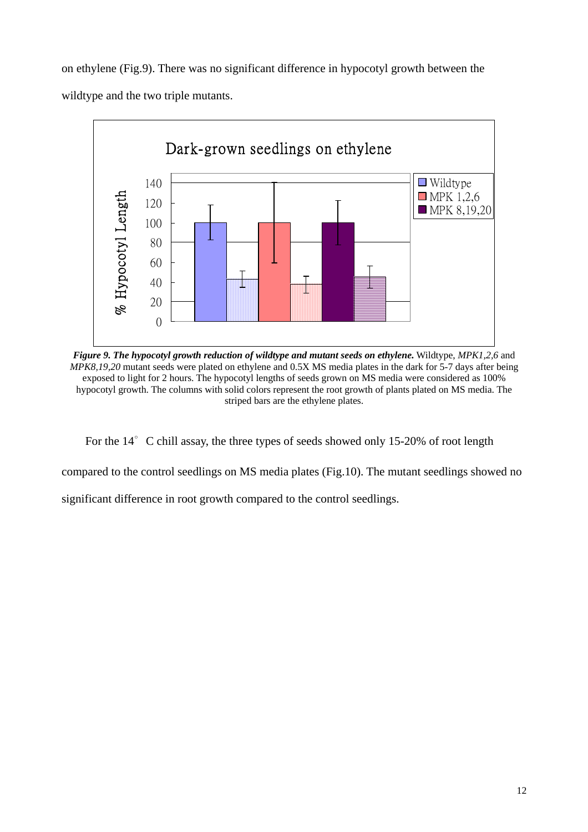on ethylene (Fig.9). There was no significant difference in hypocotyl growth between the wildtype and the two triple mutants.



*Figure 9. The hypocotyl growth reduction of wildtype and mutant seeds on ethylene.* Wildtype, *MPK1,2,6* and *MPK8,19,20* mutant seeds were plated on ethylene and 0.5X MS media plates in the dark for 5-7 days after being exposed to light for 2 hours. The hypocotyl lengths of seeds grown on MS media were considered as 100% hypocotyl growth. The columns with solid colors represent the root growth of plants plated on MS media. The striped bars are the ethylene plates.

For the 14° C chill assay, the three types of seeds showed only 15-20% of root length

compared to the control seedlings on MS media plates (Fig.10). The mutant seedlings showed no

significant difference in root growth compared to the control seedlings.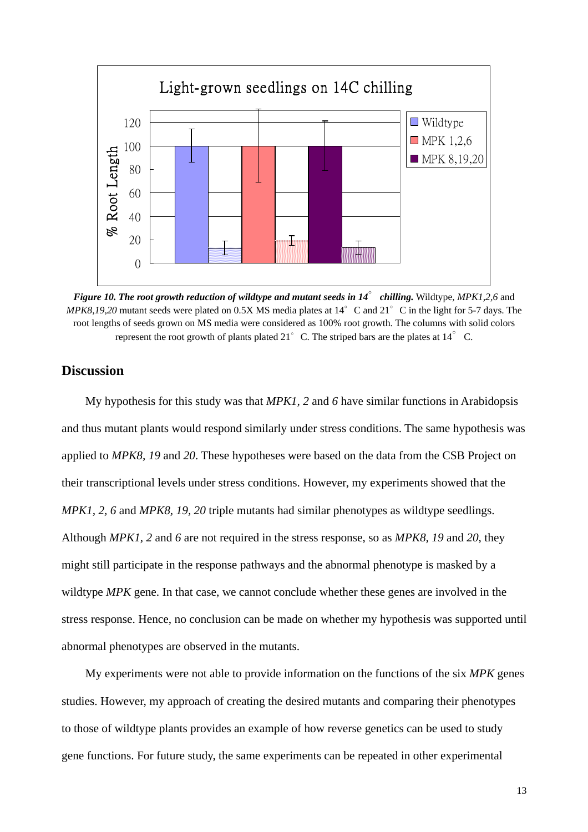

*Figure 10. The root growth reduction of wildtype and mutant seeds in 14*∘*chilling.* Wildtype, *MPK1,2,6* and *MPK8,19,20* mutant seeds were plated on 0.5X MS media plates at 14°C and 21°C in the light for 5-7 days. The root lengths of seeds grown on MS media were considered as 100% root growth. The columns with solid colors represent the root growth of plants plated 21 $\degree$ C. The striped bars are the plates at 14 $\degree$ C.

#### **Discussion**

My hypothesis for this study was that *MPK1, 2* and *6* have similar functions in Arabidopsis and thus mutant plants would respond similarly under stress conditions. The same hypothesis was applied to *MPK8, 19* and *20*. These hypotheses were based on the data from the CSB Project on their transcriptional levels under stress conditions. However, my experiments showed that the *MPK1, 2, 6* and *MPK8, 19, 20* triple mutants had similar phenotypes as wildtype seedlings. Although *MPK1, 2* and *6* are not required in the stress response, so as *MPK8, 19* and *20*, they might still participate in the response pathways and the abnormal phenotype is masked by a wildtype *MPK* gene. In that case, we cannot conclude whether these genes are involved in the stress response. Hence, no conclusion can be made on whether my hypothesis was supported until abnormal phenotypes are observed in the mutants.

My experiments were not able to provide information on the functions of the six *MPK* genes studies. However, my approach of creating the desired mutants and comparing their phenotypes to those of wildtype plants provides an example of how reverse genetics can be used to study gene functions. For future study, the same experiments can be repeated in other experimental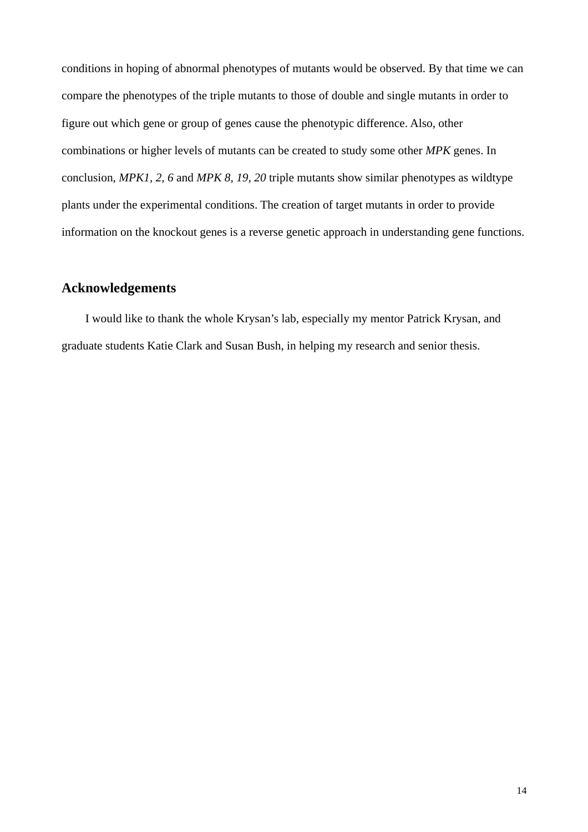conditions in hoping of abnormal phenotypes of mutants would be observed. By that time we can compare the phenotypes of the triple mutants to those of double and single mutants in order to figure out which gene or group of genes cause the phenotypic difference. Also, other combinations or higher levels of mutants can be created to study some other *MPK* genes. In conclusion, *MPK1, 2, 6* and *MPK 8, 19, 20* triple mutants show similar phenotypes as wildtype plants under the experimental conditions. The creation of target mutants in order to provide information on the knockout genes is a reverse genetic approach in understanding gene functions.

#### **Acknowledgements**

I would like to thank the whole Krysan's lab, especially my mentor Patrick Krysan, and graduate students Katie Clark and Susan Bush, in helping my research and senior thesis.